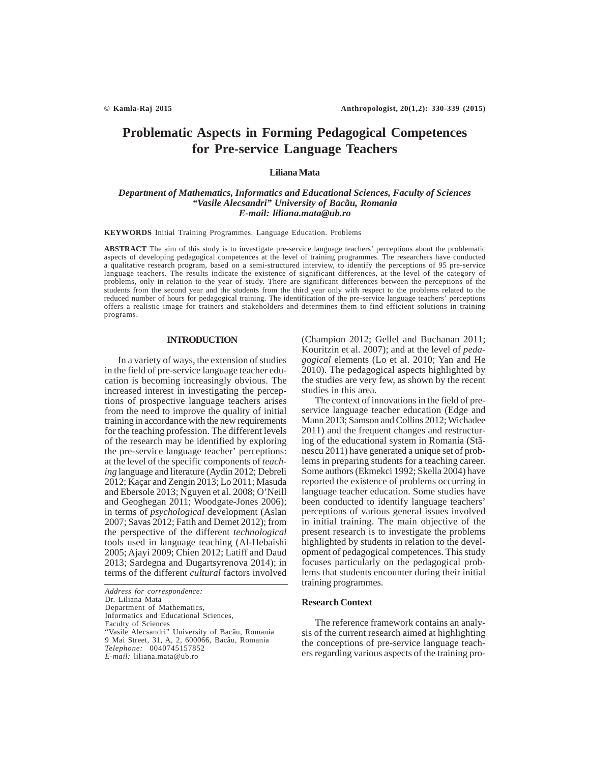# **Problematic Aspects in Forming Pedagogical Competences for Pre-service Language Teachers**

### **Liliana Mata**

# *Department of Mathematics, Informatics and Educational Sciences, Faculty of Sciences "Vasile Alecsandri" University of Bacãu, Romania E-mail: liliana.mata@ub.ro*

**KEYWORDS** Initial Training Programmes. Language Education. Problems

**ABSTRACT** The aim of this study is to investigate pre-service language teachers' perceptions about the problematic aspects of developing pedagogical competences at the level of training programmes. The researchers have conducted a qualitative research program, based on a semi-structured interview, to identify the perceptions of 95 pre-service language teachers. The results indicate the existence of significant differences, at the level of the category of problems, only in relation to the year of study. There are significant differences between the perceptions of the students from the second year and the students from the third year only with respect to the problems related to the reduced number of hours for pedagogical training. The identification of the pre-service language teachers' perceptions offers a realistic image for trainers and stakeholders and determines them to find efficient solutions in training programs.

## **INTRODUCTION**

In a variety of ways, the extension of studies in the field of pre-service language teacher education is becoming increasingly obvious. The increased interest in investigating the perceptions of prospective language teachers arises from the need to improve the quality of initial training in accordance with the new requirements for the teaching profession. The different levels of the research may be identified by exploring the pre-service language teacher' perceptions: at the level of the specific components of *teaching* language and literature (Aydin 2012; Debreli 2012; Kaçar and Zengin 2013; Lo 2011; Masuda and Ebersole 2013; Nguyen et al. 2008; O'Neill and Geoghegan 2011; Woodgate-Jones 2006); in terms of *psychological* development (Aslan 2007; Savas 2012; Fatih and Demet 2012); from the perspective of the different *technological* tools used in language teaching (Al-Hebaishi 2005; Ajayi 2009; Chien 2012; Latiff and Daud 2013; Sardegna and Dugartsyrenova 2014); in terms of the different *cultural* factors involved

*Address for correspondence:* Dr. Liliana Mata Department of Mathematics, Informatics and Educational Sciences, Faculty of Sciences "Vasile Alecsandri" University of Bacãu, Romania 9 Mai Street, 31, A, 2, 600066, Bacãu, Romania *Telephone:* 0040745157852 *E-mail:* liliana.mata@ub.ro

(Champion 2012; Gellel and Buchanan 2011; Kouritzin et al. 2007); and at the level of *pedagogical* elements (Lo et al. 2010; Yan and He 2010). The pedagogical aspects highlighted by the studies are very few, as shown by the recent studies in this area.

The context of innovations in the field of preservice language teacher education (Edge and Mann 2013; Samson and Collins 2012; Wichadee 2011) and the frequent changes and restructuring of the educational system in Romania (Stãnescu 2011) have generated a unique set of problems in preparing students for a teaching career. Some authors (Ekmekci 1992; Skella 2004) have reported the existence of problems occurring in language teacher education. Some studies have been conducted to identify language teachers' perceptions of various general issues involved in initial training. The main objective of the present research is to investigate the problems highlighted by students in relation to the development of pedagogical competences. This study focuses particularly on the pedagogical problems that students encounter during their initial training programmes.

# **Research Context**

The reference framework contains an analysis of the current research aimed at highlighting the conceptions of pre-service language teachers regarding various aspects of the training pro-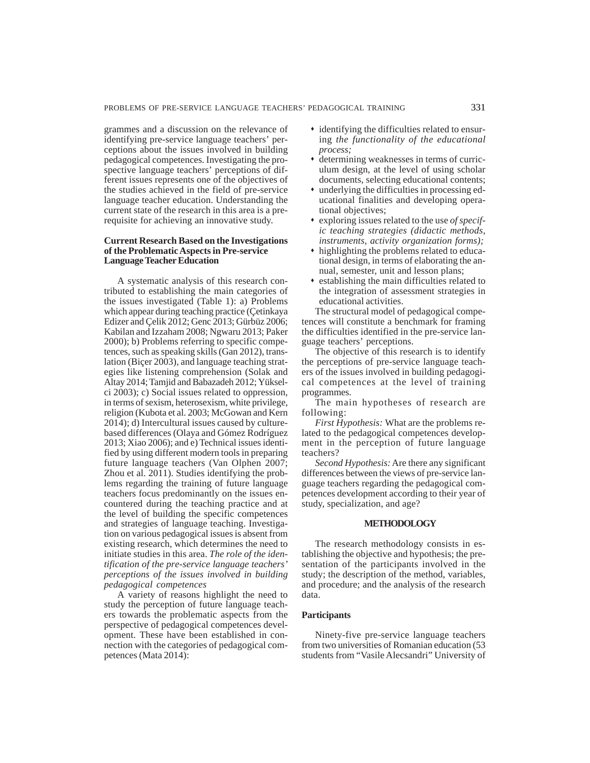grammes and a discussion on the relevance of identifying pre-service language teachers' perceptions about the issues involved in building pedagogical competences. Investigating the prospective language teachers' perceptions of different issues represents one of the objectives of the studies achieved in the field of pre-service language teacher education. Understanding the current state of the research in this area is a prerequisite for achieving an innovative study.

# **Current Research Based on the Investigations of the Problematic Aspects in Pre-service Language Teacher Education**

A systematic analysis of this research contributed to establishing the main categories of the issues investigated (Table 1): a) Problems which appear during teaching practice (Çetinkaya Edizer and Çelik 2012; Genc 2013; Gürbüz 2006; Kabilan and Izzaham 2008; Ngwaru 2013; Paker 2000); b) Problems referring to specific competences, such as speaking skills (Gan 2012), translation (Bicer 2003), and language teaching strategies like listening comprehension (Solak and Altay 2014; Tamjid and Babazadeh 2012; Yükselci 2003); c) Social issues related to oppression, in terms of sexism, heterosexism, white privilege, religion (Kubota et al. 2003; McGowan and Kern 2014); d) Intercultural issues caused by culturebased differences (Olaya and Gómez Rodríguez 2013; Xiao 2006); and e) Technical issues identified by using different modern tools in preparing future language teachers (Van Olphen 2007; Zhou et al.  $20\overline{1}$ . Studies identifying the problems regarding the training of future language teachers focus predominantly on the issues encountered during the teaching practice and at the level of building the specific competences and strategies of language teaching. Investigation on various pedagogical issues is absent from existing research, which determines the need to initiate studies in this area. *The role of the identification of the pre-service language teachers' perceptions of the issues involved in building pedagogical competences*

A variety of reasons highlight the need to study the perception of future language teachers towards the problematic aspects from the perspective of pedagogical competences development. These have been established in connection with the categories of pedagogical competences (Mata 2014):

- identifying the difficulties related to ensuring *the functionality of the educational process;*
- determining weaknesses in terms of curriculum design, at the level of using scholar documents, selecting educational contents;
- underlying the difficulties in processing educational finalities and developing operational objectives;
- exploring issues related to the use *of specific teaching strategies (didactic methods, instruments, activity organization forms);*
- highlighting the problems related to educational design, in terms of elaborating the annual, semester, unit and lesson plans;
- establishing the main difficulties related to the integration of assessment strategies in educational activities.

The structural model of pedagogical competences will constitute a benchmark for framing the difficulties identified in the pre-service language teachers' perceptions.

The objective of this research is to identify the perceptions of pre-service language teachers of the issues involved in building pedagogical competences at the level of training programmes.

The main hypotheses of research are following:

*First Hypothesis:* What are the problems related to the pedagogical competences development in the perception of future language teachers?

*Second Hypothesis:* Are there any significant differences between the views of pre-service language teachers regarding the pedagogical competences development according to their year of study, specialization, and age?

### **METHODOLOGY**

The research methodology consists in establishing the objective and hypothesis; the presentation of the participants involved in the study; the description of the method, variables, and procedure; and the analysis of the research data.

# **Participants**

Ninety-five pre-service language teachers from two universities of Romanian education (53 students from "Vasile Alecsandri" University of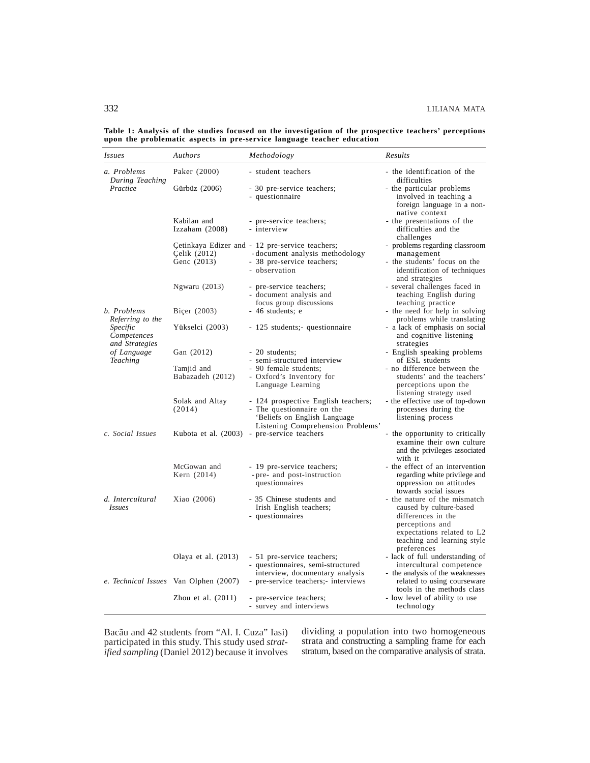| <i>Issues</i>                                              | Authors                                      | Methodology                                                                                                                            | Results                                                                                                                                                                      |
|------------------------------------------------------------|----------------------------------------------|----------------------------------------------------------------------------------------------------------------------------------------|------------------------------------------------------------------------------------------------------------------------------------------------------------------------------|
| a. Problems<br>During Teaching                             | Paker (2000)                                 | - student teachers                                                                                                                     | - the identification of the<br>difficulties                                                                                                                                  |
| Practice                                                   | Gürbüz (2006)                                | - 30 pre-service teachers;<br>- questionnaire                                                                                          | - the particular problems<br>involved in teaching a<br>foreign language in a non-<br>native context                                                                          |
|                                                            | Kabilan and<br>Izzaham (2008)                | - pre-service teachers;<br>- interview                                                                                                 | - the presentations of the<br>difficulties and the<br>challenges                                                                                                             |
|                                                            | Celik (2012)<br>Genc (2013)                  | Cetinkaya Edizer and - 12 pre-service teachers;<br>-document analysis methodology<br>- 38 pre-service teachers;<br>- observation       | - problems regarding classroom<br>management<br>- the students' focus on the<br>identification of techniques<br>and strategies                                               |
|                                                            | Ngwaru (2013)                                | - pre-service teachers;<br>- document analysis and<br>focus group discussions                                                          | - several challenges faced in<br>teaching English during<br>teaching practice                                                                                                |
| b. Problems<br>Referring to the<br>Specific<br>Competences | Biçer (2003)<br>Yükselci (2003)              | - 46 students; e<br>- 125 students; questionnaire                                                                                      | - the need for help in solving<br>problems while translating<br>- a lack of emphasis on social<br>and cognitive listening                                                    |
| and Strategies<br>of Language<br><b>Teaching</b>           | Gan (2012)<br>Tamjid and<br>Babazadeh (2012) | - 20 students:<br>- semi-structured interview<br>- 90 female students;<br>- Oxford's Inventory for<br>Language Learning                | strategies<br>- English speaking problems<br>of ESL students<br>- no difference between the<br>students' and the teachers'<br>perceptions upon the                           |
|                                                            | Solak and Altay<br>(2014)                    | - 124 prospective English teachers;<br>- The questionnaire on the<br>'Beliefs on English Language<br>Listening Comprehension Problems' | listening strategy used<br>- the effective use of top-down<br>processes during the<br>listening process                                                                      |
| c. Social Issues                                           |                                              | Kubota et al. (2003) - pre-service teachers                                                                                            | - the opportunity to critically<br>examine their own culture<br>and the privileges associated<br>with it                                                                     |
|                                                            | McGowan and<br>Kern (2014)                   | - 19 pre-service teachers;<br>- pre- and post-instruction<br>questionnaires                                                            | - the effect of an intervention<br>regarding white privilege and<br>oppression on attitudes<br>towards social issues                                                         |
| d. Intercultural<br><i>Issues</i>                          | Xiao (2006)                                  | - 35 Chinese students and<br>Irish English teachers;<br>- questionnaires                                                               | - the nature of the mismatch<br>caused by culture-based<br>differences in the<br>perceptions and<br>expectations related to L2<br>teaching and learning style<br>preferences |
|                                                            | Olaya et al. (2013)                          | - 51 pre-service teachers;<br>- questionnaires, semi-structured<br>interview, documentary analysis                                     | - lack of full understanding of<br>intercultural competence<br>- the analysis of the weaknesses                                                                              |
|                                                            | e. Technical Issues Van Olphen (2007)        | - pre-service teachers; interviews                                                                                                     | related to using courseware<br>tools in the methods class                                                                                                                    |
|                                                            | Zhou et al. $(2011)$                         | - pre-service teachers;<br>- survey and interviews                                                                                     | - low level of ability to use<br>technology                                                                                                                                  |

**Table 1: Analysis of the studies focused on the investigation of the prospective teachers' perceptions upon the problematic aspects in pre-service language teacher education**

Bacãu and 42 students from "Al. I. Cuza" Iasi) participated in this study. This study used *stratified sampling* (Daniel 2012) because it involves dividing a population into two homogeneous strata and constructing a sampling frame for each stratum, based on the comparative analysis of strata.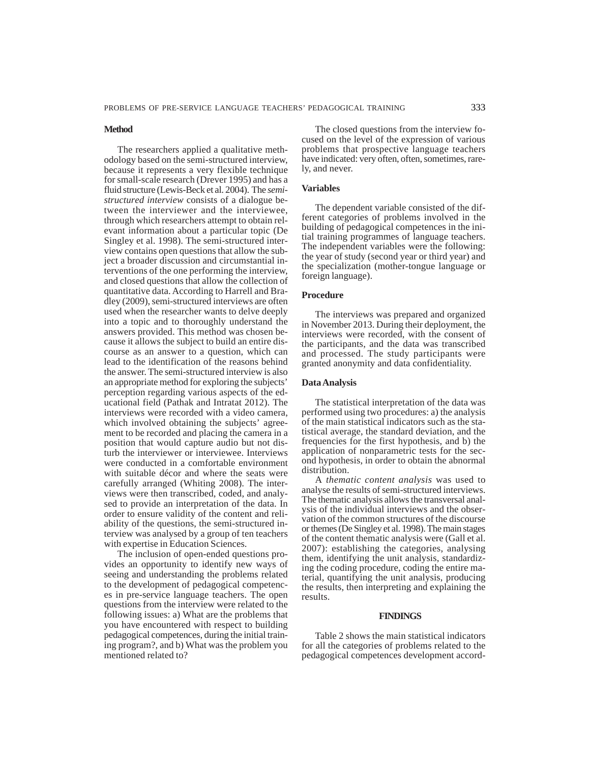#### **Method**

The researchers applied a qualitative methodology based on the semi-structured interview, because it represents a very flexible technique for small-scale research (Drever 1995) and has a fluid structure (Lewis-Beck et al. 2004). The *semistructured interview* consists of a dialogue between the interviewer and the interviewee, through which researchers attempt to obtain relevant information about a particular topic (De Singley et al. 1998). The semi-structured interview contains open questions that allow the subject a broader discussion and circumstantial interventions of the one performing the interview, and closed questions that allow the collection of quantitative data. According to Harrell and Bradley (2009), semi-structured interviews are often used when the researcher wants to delve deeply into a topic and to thoroughly understand the answers provided. This method was chosen because it allows the subject to build an entire discourse as an answer to a question, which can lead to the identification of the reasons behind the answer. The semi-structured interview is also an appropriate method for exploring the subjects' perception regarding various aspects of the educational field (Pathak and Intratat 2012). The interviews were recorded with a video camera, which involved obtaining the subjects' agreement to be recorded and placing the camera in a position that would capture audio but not disturb the interviewer or interviewee. Interviews were conducted in a comfortable environment with suitable décor and where the seats were carefully arranged (Whiting 2008). The interviews were then transcribed, coded, and analysed to provide an interpretation of the data. In order to ensure validity of the content and reliability of the questions, the semi-structured interview was analysed by a group of ten teachers with expertise in Education Sciences.

The inclusion of open-ended questions provides an opportunity to identify new ways of seeing and understanding the problems related to the development of pedagogical competences in pre-service language teachers. The open questions from the interview were related to the following issues: a) What are the problems that you have encountered with respect to building pedagogical competences, during the initial training program?, and b) What was the problem you mentioned related to?

The closed questions from the interview focused on the level of the expression of various problems that prospective language teachers have indicated: very often, often, sometimes, rarely, and never.

#### **Variables**

The dependent variable consisted of the different categories of problems involved in the building of pedagogical competences in the initial training programmes of language teachers. The independent variables were the following: the year of study (second year or third year) and the specialization (mother-tongue language or foreign language).

# **Procedure**

The interviews was prepared and organized in November 2013. During their deployment, the interviews were recorded, with the consent of the participants, and the data was transcribed and processed. The study participants were granted anonymity and data confidentiality.

#### **Data Analysis**

The statistical interpretation of the data was performed using two procedures: a) the analysis of the main statistical indicators such as the statistical average, the standard deviation, and the frequencies for the first hypothesis, and b) the application of nonparametric tests for the second hypothesis, in order to obtain the abnormal distribution.

A *thematic content analysis* was used to analyse the results of semi-structured interviews. The thematic analysis allows the transversal analysis of the individual interviews and the observation of the common structures of the discourse or themes (De Singley et al. 1998). The main stages of the content thematic analysis were (Gall et al. 2007): establishing the categories, analysing them, identifying the unit analysis, standardizing the coding procedure, coding the entire material, quantifying the unit analysis, producing the results, then interpreting and explaining the results.

#### **FINDINGS**

Table 2 shows the main statistical indicators for all the categories of problems related to the pedagogical competences development accord-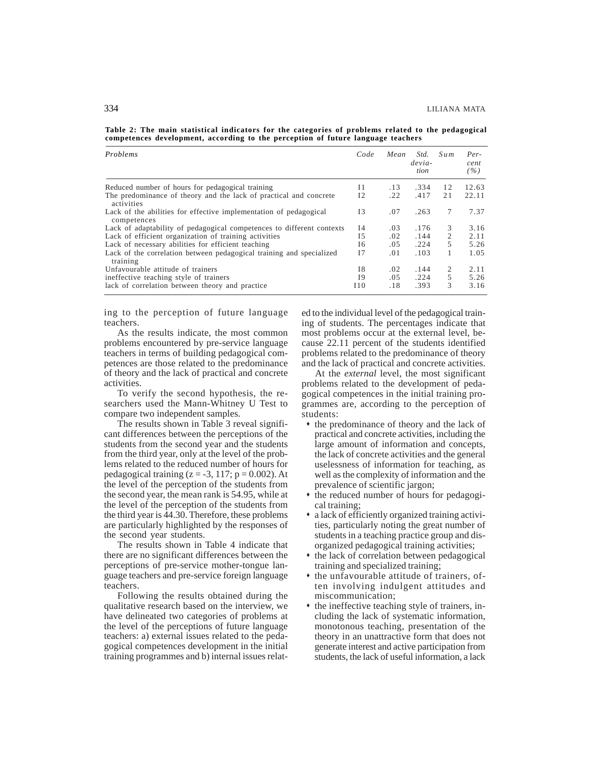**Table 2: The main statistical indicators for the categories of problems related to the pedagogical competences development, according to the perception of future language teachers**

| Problems                                                                         | Code       | Mean | Std.<br>$devia-$<br>tion | Sum | Per-<br>cent<br>(%) |
|----------------------------------------------------------------------------------|------------|------|--------------------------|-----|---------------------|
| Reduced number of hours for pedagogical training                                 | $_{11}$    | .13  | .334                     | 12  | 12.63               |
| The predominance of theory and the lack of practical and concrete<br>activities  | 12         | .22  | .417                     | 21  | 22.11               |
| Lack of the abilities for effective implementation of pedagogical<br>competences | 13         | .07  | .263                     | 7   | 7.37                |
| Lack of adaptability of pedagogical competences to different contexts            | 14         | .03  | .176                     | 3   | 3.16                |
| Lack of efficient organization of training activities                            | 15         | .02  | .144                     | 2   | 2.11                |
| Lack of necessary abilities for efficient teaching                               | 16         | .05  | .224                     | 5   | 5.26                |
| Lack of the correlation between pedagogical training and specialized<br>training | 17         | .01  | .103                     | 1   | 1.05                |
| Unfavourable attitude of trainers                                                | 18         | .02  | .144                     | 2   | 2.11                |
| ineffective teaching style of trainers                                           | 19         | .05  | .224                     | 5   | 5.26                |
| lack of correlation between theory and practice                                  | <b>I10</b> | .18  | .393                     | 3   | 3.16                |

ing to the perception of future language teachers.

As the results indicate, the most common problems encountered by pre-service language teachers in terms of building pedagogical competences are those related to the predominance of theory and the lack of practical and concrete activities.

To verify the second hypothesis, the researchers used the Mann-Whitney U Test to compare two independent samples.

The results shown in Table 3 reveal significant differences between the perceptions of the students from the second year and the students from the third year, only at the level of the problems related to the reduced number of hours for pedagogical training  $(z = -3, 117; p = 0.002)$ . At the level of the perception of the students from the second year, the mean rank is 54.95, while at the level of the perception of the students from the third year is 44.30. Therefore, these problems are particularly highlighted by the responses of the second year students.

The results shown in Table 4 indicate that there are no significant differences between the perceptions of pre-service mother-tongue language teachers and pre-service foreign language teachers.

Following the results obtained during the qualitative research based on the interview, we have delineated two categories of problems at the level of the perceptions of future language teachers: a) external issues related to the pedagogical competences development in the initial training programmes and b) internal issues related to the individual level of the pedagogical training of students. The percentages indicate that most problems occur at the external level, because 22.11 percent of the students identified problems related to the predominance of theory and the lack of practical and concrete activities.

At the *external* level, the most significant problems related to the development of pedagogical competences in the initial training programmes are, according to the perception of students:

- the predominance of theory and the lack of practical and concrete activities, including the large amount of information and concepts, the lack of concrete activities and the general uselessness of information for teaching, as well as the complexity of information and the prevalence of scientific jargon;
- $\bullet$  the reduced number of hours for pedagogical training;
- a lack of efficiently organized training activities, particularly noting the great number of students in a teaching practice group and disorganized pedagogical training activities;
- $*$  the lack of correlation between pedagogical training and specialized training;
- $*$  the unfavourable attitude of trainers, often involving indulgent attitudes and miscommunication;
- $\bullet$  the ineffective teaching style of trainers, including the lack of systematic information, monotonous teaching, presentation of the theory in an unattractive form that does not generate interest and active participation from students, the lack of useful information, a lack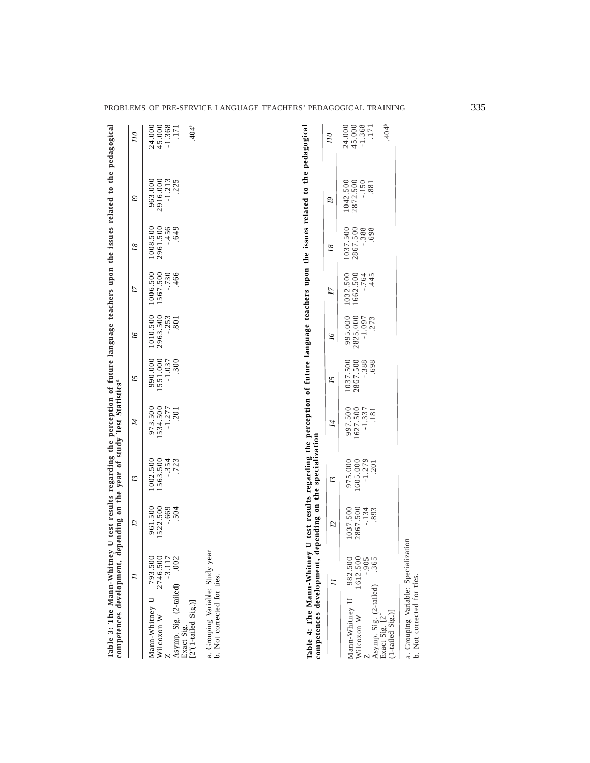| Table 3: The Mann-Whitney U test results regarding the perception of future language teachers upon the issues related to the pedagogical<br>competences development,                                                                                                                                                                                 |                                               |                                               | depending on the year of study Test Statistics <sup>ª</sup>                    |                                                    |                                              |                                               |                                               |                                                           |                                             |                                                                           |
|------------------------------------------------------------------------------------------------------------------------------------------------------------------------------------------------------------------------------------------------------------------------------------------------------------------------------------------------------|-----------------------------------------------|-----------------------------------------------|--------------------------------------------------------------------------------|----------------------------------------------------|----------------------------------------------|-----------------------------------------------|-----------------------------------------------|-----------------------------------------------------------|---------------------------------------------|---------------------------------------------------------------------------|
|                                                                                                                                                                                                                                                                                                                                                      | Ξ                                             | 7                                             | 13                                                                             | 4                                                  | 57                                           | 91                                            | Ŋ                                             | $\overline{18}$                                           | Q)                                          | $\overline{\mu}$                                                          |
| Asymp. Sig. (2-tailed)<br>Mann-Whitney U<br>$[2^*(1-tailed$ Sig.)]<br>Wilcoxon W<br>Exact Sig.                                                                                                                                                                                                                                                       | 793.500<br>2746.500<br>$-3.117$<br>.002       | 1522.500<br>961.500<br>$-0.669$<br>504        | 1002.500<br>1563.500<br>$-0.354$<br>.723                                       | 973.500<br>1534.500<br>$-1.277$<br>201             | 1551.000<br>$-1.037$<br>990.000<br>.300      | 1010.500<br>2963.500<br>$-0.253$<br>.801      | 1006.500<br>1567.500<br>$-730$<br>466         | 2961.500<br>$-456$<br>1008.500<br>.649                    | $-1.213$<br>$.225$<br>963.000<br>2916.000   | 45.000<br>$-1.368$<br>$-404^{\circ}$<br>24.000<br>.171                    |
| Table 4: The Mann-Whitney U test results regarding the perception of future language teachers upon the issues related to the pedagogical<br>a. Grouping Variable: Study year<br>b. Not corrected for ties.<br>competences development,<br>Asymp. Sig. (2-tailed)<br>Mann-Whitney U<br>$(1-tailed$ Sig.)]<br>Exact Sig. [2 <sup>*</sup><br>Wilcoxon W | 982.500<br>1612.500<br>$-0.905$<br>.365<br>11 | 2867.500<br>1037.500<br>$-.134$<br>.893<br>72 | depending on the specialization<br>$-1.279$<br>975.000<br>605.000<br>201<br>13 | 1627.500<br>$-1.337$<br>997.500<br><b>181</b><br>4 | 1037.500<br>$-.388$<br>2867.500<br>698<br>57 | 995.000<br>2825.000<br>$-1.097$<br>.273<br>9I | 1032.500<br>1662.500<br>$-0.764$<br>.445<br>Ŋ | $-.388$<br>1037.500<br>2867.500<br>698<br>$\overline{18}$ | 2872.500<br>$-150$<br>1042.500<br>.881<br>2 | 24.000<br>45.000<br>$-1.368$<br>$-404^{\circ}$<br>171<br>$\overline{\mu}$ |
| a. Grouping Variable: Speciali.<br>b. Not corrected for ties.                                                                                                                                                                                                                                                                                        |                                               | zation                                        |                                                                                |                                                    |                                              |                                               |                                               |                                                           |                                             |                                                                           |

| 2<br>$\mathcal{Z}$                                                                                                                                                       |                                      |                                      |                                      | $\leq$                                 | $\overline{C}$                         |                                        |                                        | $\overline{U}$                         |
|--------------------------------------------------------------------------------------------------------------------------------------------------------------------------|--------------------------------------|--------------------------------------|--------------------------------------|----------------------------------------|----------------------------------------|----------------------------------------|----------------------------------------|----------------------------------------|
| 1037.500<br>2867.500<br>134<br>893.<br>1612.500<br>fann-Whitney U 982.500<br>Asymp. Sig. $(2$ -tailed) .365<br>xact Sig. $[2^*$<br>06.-<br>Vilcoxon W<br>a-tailed Sig.)] | 975.000<br>1605.000<br>1.279<br>201. | 997.500<br>1627.500<br>1.337<br>181. | 1037.500<br>2867.500<br>388.<br>398. | 995.000<br>2825.000<br>-1.097<br>-273. | 1032.500<br>1662.500<br>-.764<br>-.445 | 1037.500<br>2867.500<br>-.388<br>-.698 | 1042.500<br>2872.500<br>-.150<br>-.881 | 24.000<br>45.13.17<br>7<br>$rac{6}{4}$ |
|                                                                                                                                                                          |                                      |                                      |                                      |                                        |                                        |                                        |                                        |                                        |
|                                                                                                                                                                          |                                      |                                      |                                      |                                        |                                        |                                        |                                        |                                        |

PROBLEMS OF PRE-SERVICE LANGUAGE TEACHERS' PEDAGOGICAL TRAINING 335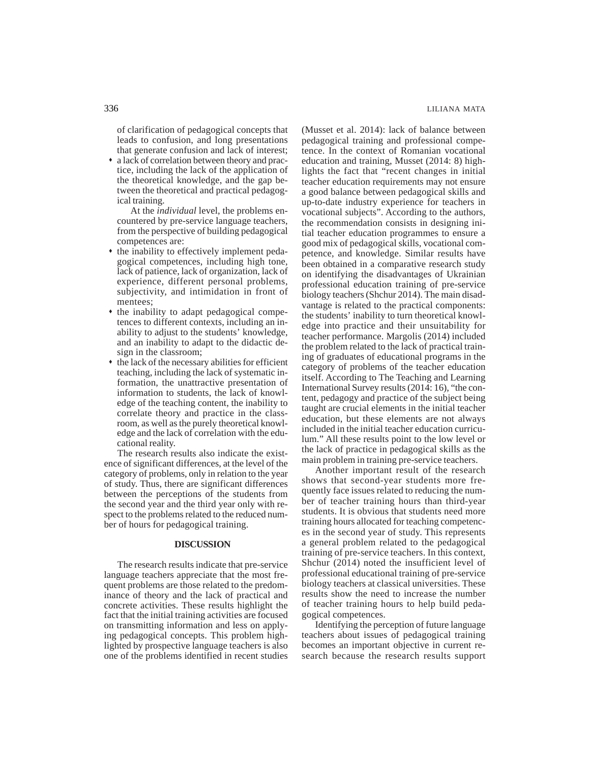of clarification of pedagogical concepts that leads to confusion, and long presentations that generate confusion and lack of interest;

 a lack of correlation between theory and practice, including the lack of the application of the theoretical knowledge, and the gap between the theoretical and practical pedagogical training.

At the *individual* level, the problems encountered by pre-service language teachers, from the perspective of building pedagogical competences are:

- the inability to effectively implement pedagogical competences, including high tone, lack of patience, lack of organization, lack of experience, different personal problems, subjectivity, and intimidation in front of mentees;
- $\bullet$  the inability to adapt pedagogical competences to different contexts, including an inability to adjust to the students' knowledge, and an inability to adapt to the didactic design in the classroom;
- the lack of the necessary abilities for efficient teaching, including the lack of systematic information, the unattractive presentation of information to students, the lack of knowledge of the teaching content, the inability to correlate theory and practice in the classroom, as well as the purely theoretical knowledge and the lack of correlation with the educational reality.

The research results also indicate the existence of significant differences, at the level of the category of problems, only in relation to the year of study. Thus, there are significant differences between the perceptions of the students from the second year and the third year only with respect to the problems related to the reduced number of hours for pedagogical training.

#### **DISCUSSION**

The research results indicate that pre-service language teachers appreciate that the most frequent problems are those related to the predominance of theory and the lack of practical and concrete activities. These results highlight the fact that the initial training activities are focused on transmitting information and less on applying pedagogical concepts. This problem highlighted by prospective language teachers is also one of the problems identified in recent studies

(Musset et al. 2014): lack of balance between pedagogical training and professional competence. In the context of Romanian vocational education and training, Musset (2014: 8) highlights the fact that "recent changes in initial teacher education requirements may not ensure a good balance between pedagogical skills and up-to-date industry experience for teachers in vocational subjects". According to the authors, the recommendation consists in designing initial teacher education programmes to ensure a good mix of pedagogical skills, vocational competence, and knowledge. Similar results have been obtained in a comparative research study on identifying the disadvantages of Ukrainian professional education training of pre-service biology teachers (Shchur 2014). The main disadvantage is related to the practical components: the students' inability to turn theoretical knowledge into practice and their unsuitability for teacher performance. Margolis (2014) included the problem related to the lack of practical training of graduates of educational programs in the category of problems of the teacher education itself. According to The Teaching and Learning International Survey results (2014: 16), "the content, pedagogy and practice of the subject being taught are crucial elements in the initial teacher education, but these elements are not always included in the initial teacher education curriculum." All these results point to the low level or the lack of practice in pedagogical skills as the main problem in training pre-service teachers.

Another important result of the research shows that second-year students more frequently face issues related to reducing the number of teacher training hours than third-year students. It is obvious that students need more training hours allocated for teaching competences in the second year of study. This represents a general problem related to the pedagogical training of pre-service teachers. In this context, Shchur (2014) noted the insufficient level of professional educational training of pre-service biology teachers at classical universities. These results show the need to increase the number of teacher training hours to help build pedagogical competences.

Identifying the perception of future language teachers about issues of pedagogical training becomes an important objective in current research because the research results support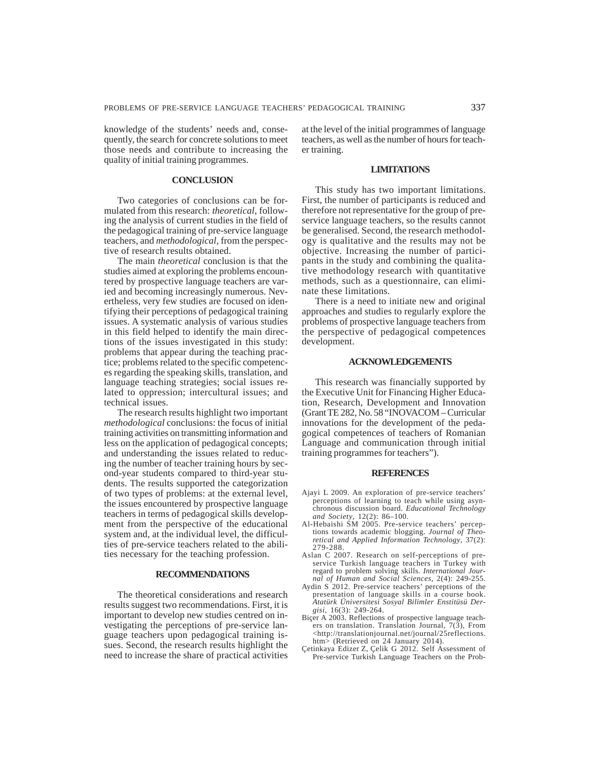knowledge of the students' needs and, consequently, the search for concrete solutions to meet those needs and contribute to increasing the quality of initial training programmes.

# **CONCLUSION**

Two categories of conclusions can be formulated from this research: *theoretical*, following the analysis of current studies in the field of the pedagogical training of pre-service language teachers, and *methodological*, from the perspective of research results obtained.

The main *theoretical* conclusion is that the studies aimed at exploring the problems encountered by prospective language teachers are varied and becoming increasingly numerous. Nevertheless, very few studies are focused on identifying their perceptions of pedagogical training issues. A systematic analysis of various studies in this field helped to identify the main directions of the issues investigated in this study: problems that appear during the teaching practice; problems related to the specific competences regarding the speaking skills, translation, and language teaching strategies; social issues related to oppression; intercultural issues; and technical issues.

The research results highlight two important *methodological* conclusions: the focus of initial training activities on transmitting information and less on the application of pedagogical concepts; and understanding the issues related to reducing the number of teacher training hours by second-year students compared to third-year students. The results supported the categorization of two types of problems: at the external level, the issues encountered by prospective language teachers in terms of pedagogical skills development from the perspective of the educational system and, at the individual level, the difficulties of pre-service teachers related to the abilities necessary for the teaching profession.

#### **RECOMMENDATIONS**

The theoretical considerations and research results suggest two recommendations. First, it is important to develop new studies centred on investigating the perceptions of pre-service language teachers upon pedagogical training issues. Second, the research results highlight the need to increase the share of practical activities

at the level of the initial programmes of language teachers, as well as the number of hours for teacher training.

#### **LIMITATIONS**

This study has two important limitations. First, the number of participants is reduced and therefore not representative for the group of preservice language teachers, so the results cannot be generalised. Second, the research methodology is qualitative and the results may not be objective. Increasing the number of participants in the study and combining the qualitative methodology research with quantitative methods, such as a questionnaire, can eliminate these limitations.

There is a need to initiate new and original approaches and studies to regularly explore the problems of prospective language teachers from the perspective of pedagogical competences development.

### **ACKNOWLEDGEMENTS**

This research was financially supported by the Executive Unit for Financing Higher Education, Research, Development and Innovation (Grant TE 282, No. 58 "INOVACOM – Curricular innovations for the development of the pedagogical competences of teachers of Romanian Language and communication through initial training programmes for teachers").

#### **REFERENCES**

- Ajayi L 2009. An exploration of pre-service teachers' perceptions of learning to teach while using asynchronous discussion board. *Educational Technology and Society*, 12(2): 86–100.
- Al-Hebaishi SM 2005. Pre-service teachers' perceptions towards academic blogging. *Journal of Theoretical and Applied Information Technology*, 37(2): 279-288.
- Aslan C 2007. Research on self-perceptions of preservice Turkish language teachers in Turkey with regard to problem solving skills. *International Journal of Human and Social Sciences*, 2(4): 249-255.
- Aydin S 2012. Pre-service teachers' perceptions of the presentation of language skills in a course book. *Atatürk Üniversitesi Sosyal Bilimler Enstitüsü Dergisi*, 16(3): 249-264.
- Biçer A 2003. Reflections of prospective language teachers on translation. Translation Journal,  $7(3)$ , From <http://translationjournal.net/journal/25reflections. htm> (Retrieved on 24 January 2014).
- Çetinkaya Edizer Z, Çelik G 2012. Self Assessment of Pre-service Turkish Language Teachers on the Prob-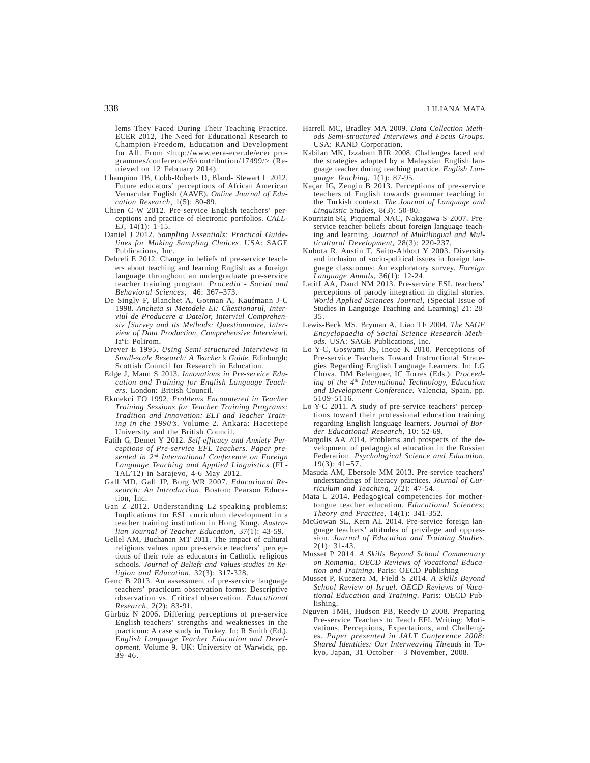lems They Faced During Their Teaching Practice. ECER 2012, The Need for Educational Research to Champion Freedom, Education and Development for All. From <http://www.eera-ecer.de/ecer programmes/conference/6/contribution/17499/> (Retrieved on 12 February 2014).

- Champion TB, Cobb-Roberts D, Bland- Stewart L 2012. Future educators' perceptions of African American Vernacular English (AAVE). *Online Journal of Education Research*, 1(5): 80-89.
- Chien C-W 2012. Pre-service English teachers' perceptions and practice of electronic portfolios. *CALL-EJ*, 14(1): 1-15.
- Daniel J 2012. *Sampling Essentials: Practical Guidelines for Making Sampling Choices*. USA: SAGE Publications, Inc.
- Debreli E 2012. Change in beliefs of pre-service teachers about teaching and learning English as a foreign language throughout an undergraduate pre-service teacher training program. *Procedia - Social and Behavioral Sciences*, 46: 367–373.
- De Singly F, Blanchet A, Gotman A, Kaufmann J-C 1998. *Ancheta si Metodele Ei: Chestionarul, Interviul de Producere a Datelor, Interviul Comprehensiv [Survey and its Methods: Questionnaire, Interview of Data Production, Comprehensive Interview].* Iaºi: Polirom.
- Drever E 1995. *Using Semi-structured Interviews in Small-scale Research: A Teacher's Guide*. Edinburgh: Scottish Council for Research in Education.
- Edge J, Mann S 2013. *Innovations in Pre-service Education and Training for English Language Teachers*. London: British Council.
- Ekmekci FO 1992. *Problems Encountered in Teacher Training Sessions for Teacher Training Programs: Tradition and Innovation: ELT and Teacher Training in the 1990's*. Volume 2. Ankara: Hacettepe University and the British Council.
- Fatih G, Demet Y 2012. *Self-efficacy and Anxiety Perceptions of Pre-service EFL Teachers. Paper presented in 2nd International Conference on Foreign Language Teaching and Applied Linguistics* (FL-TAL'12) in Sarajevo, 4-6 May 2012.
- Gall MD, Gall JP, Borg WR 2007. *Educational Research: An Introduction*. Boston: Pearson Education, Inc.
- Gan Z 2012. Understanding L2 speaking problems: Implications for ESL curriculum development in a teacher training institution in Hong Kong. *Australian Journal of Teacher Education,* 37(1): 43-59.
- Gellel AM, Buchanan MT 2011. The impact of cultural religious values upon pre-service teachers' perceptions of their role as educators in Catholic religious schools. *Journal of Beliefs and Values-studies in Religion and Education*, 32(3): 317-328.
- Genc B 2013. An assessment of pre-service language teachers' practicum observation forms: Descriptive observation vs. Critical observation. *Educational Research*, 2(2): 83-91.
- Gürbüz N 2006. Differing perceptions of pre-service English teachers' strengths and weaknesses in the practicum: A case study in Turkey. In: R Smith (Ed.). *English Language Teacher Education and Development*. Volume 9. UK: University of Warwick, pp.  $39 - 46$ .
- Harrell MC, Bradley MA 2009*. Data Collection Methods Semi-structured Interviews and Focus Groups*. USA: RAND Corporation.
- Kabilan MK, Izzaham RIR 2008. Challenges faced and the strategies adopted by a Malaysian English language teacher during teaching practice. *English Language Teaching*, 1(1): 87-95.
- Kaçar IG, Zengin B 2013. Perceptions of pre-service teachers of English towards grammar teaching in the Turkish context. *The Journal of Language and Linguistic Studies*, 8(3): 50-80.
- Kouritzin SG, Piquemal NAC, Nakagawa S 2007. Preservice teacher beliefs about foreign language teaching and learning. *Journal of Multilingual and Multicultural Development*, 28(3): 220-237.
- Kubota R, Austin T, Saito-Abbott Y 2003. Diversity and inclusion of socio-political issues in foreign language classrooms: An exploratory survey. *Foreign Language Annals,* 36(1): 12-24.
- Latiff AA, Daud NM 2013. Pre-service ESL teachers' perceptions of parody integration in digital stories. *World Applied Sciences Journal*, (Special Issue of Studies in Language Teaching and Learning) 21: 28- 35.
- Lewis-Beck MS, Bryman A, Liao TF 2004. *The SAGE Encyclopaedia of Social Science Research Methods*. USA: SAGE Publications, Inc.
- Lo Y-C, Goswami JS, Inoue K 2010. Perceptions of Pre-service Teachers Toward Instructional Strategies Regarding English Language Learners. In: LG Chova, DM Belenguer, IC Torres (Eds.). *Proceeding of the 4th International Technology, Education and Development Conference*. Valencia, Spain, pp. 5109-5116.
- Lo Y-C 2011. A study of pre-service teachers' perceptions toward their professional education training regarding English language learners. *Journal of Border Educational Research*, 10: 52-69.
- Margolis AA 2014. Problems and prospects of the development of pedagogical education in the Russian Federation. *Psychological Science and Education*, 19(3): 41–57.
- Masuda AM, Ebersole MM 2013. Pre-service teachers' understandings of literacy practices. *Journal of Curriculum and Teaching*, 2(2): 47-54.
- Mata L 2014. Pedagogical competencies for mothertongue teacher education. *Educational Sciences: Theory and Practice*, 14(1): 341-352.
- McGowan SL, Kern AL 2014. Pre-service foreign language teachers' attitudes of privilege and oppression. *Journal of Education and Training Studies*, 2(1): 31-43.
- Musset P 2014. *A Skills Beyond School Commentary on Romania. OECD Reviews of Vocational Education and Training*. Paris: OECD Publishing
- Musset P, Kuczera M, Field S 2014. *A Skills Beyond School Review of Israel. OECD Reviews of Vacational Education and Training*. Paris: OECD Publishing.
- Nguyen TMH, Hudson PB, Reedy D 2008. Preparing Pre-service Teachers to Teach EFL Writing: Motivations, Perceptions, Expectations, and Challenges. *Paper presented in JALT Conference 2008: Shared Identities: Our Interweaving Threads* in Tokyo, Japan, 31 October – 3 November, 2008.